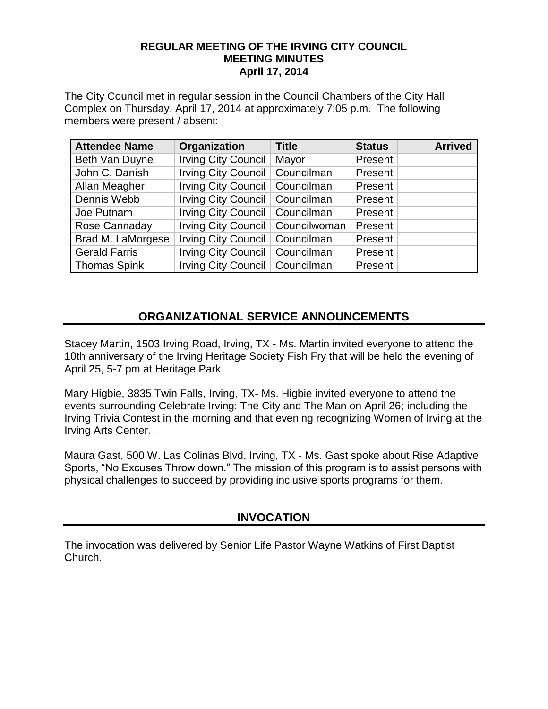#### **REGULAR MEETING OF THE IRVING CITY COUNCIL MEETING MINUTES April 17, 2014**

The City Council met in regular session in the Council Chambers of the City Hall Complex on Thursday, April 17, 2014 at approximately 7:05 p.m. The following members were present / absent:

| <b>Attendee Name</b> | Organization                       | <b>Title</b> | <b>Status</b> | <b>Arrived</b> |
|----------------------|------------------------------------|--------------|---------------|----------------|
| Beth Van Duyne       | Irving City Council                | Mayor        | Present       |                |
| John C. Danish       | Irving City Council   Councilman   |              | Present       |                |
| Allan Meagher        | Irving City Council   Councilman   |              | Present       |                |
| Dennis Webb          | Irving City Council   Councilman   |              | Present       |                |
| Joe Putnam           | Irving City Council   Councilman   |              | Present       |                |
| Rose Cannaday        | Irving City Council   Councilwoman |              | Present       |                |
| Brad M. LaMorgese    | Irving City Council   Councilman   |              | Present       |                |
| <b>Gerald Farris</b> | Irving City Council   Councilman   |              | Present       |                |
| <b>Thomas Spink</b>  | Irving City Council   Councilman   |              | Present       |                |

# **ORGANIZATIONAL SERVICE ANNOUNCEMENTS**

Stacey Martin, 1503 Irving Road, Irving, TX - Ms. Martin invited everyone to attend the 10th anniversary of the Irving Heritage Society Fish Fry that will be held the evening of April 25, 5-7 pm at Heritage Park

Mary Higbie, 3835 Twin Falls, Irving, TX- Ms. Higbie invited everyone to attend the events surrounding Celebrate Irving: The City and The Man on April 26; including the Irving Trivia Contest in the morning and that evening recognizing Women of Irving at the Irving Arts Center.

Maura Gast, 500 W. Las Colinas Blvd, Irving, TX - Ms. Gast spoke about Rise Adaptive Sports, "No Excuses Throw down." The mission of this program is to assist persons with physical challenges to succeed by providing inclusive sports programs for them.

# **INVOCATION**

The invocation was delivered by Senior Life Pastor Wayne Watkins of First Baptist Church.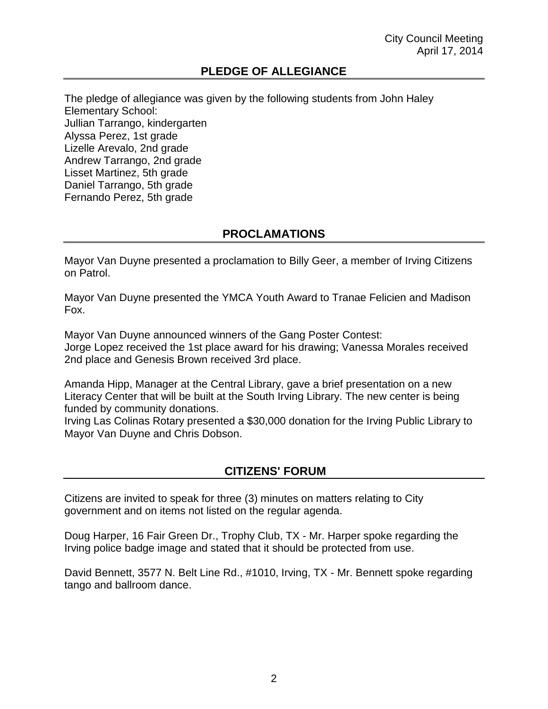### **PLEDGE OF ALLEGIANCE**

The pledge of allegiance was given by the following students from John Haley Elementary School: Jullian Tarrango, kindergarten Alyssa Perez, 1st grade Lizelle Arevalo, 2nd grade Andrew Tarrango, 2nd grade Lisset Martinez, 5th grade Daniel Tarrango, 5th grade Fernando Perez, 5th grade

### **PROCLAMATIONS**

Mayor Van Duyne presented a proclamation to Billy Geer, a member of Irving Citizens on Patrol.

Mayor Van Duyne presented the YMCA Youth Award to Tranae Felicien and Madison Fox.

Mayor Van Duyne announced winners of the Gang Poster Contest: Jorge Lopez received the 1st place award for his drawing; Vanessa Morales received 2nd place and Genesis Brown received 3rd place.

Amanda Hipp, Manager at the Central Library, gave a brief presentation on a new Literacy Center that will be built at the South Irving Library. The new center is being funded by community donations.

Irving Las Colinas Rotary presented a \$30,000 donation for the Irving Public Library to Mayor Van Duyne and Chris Dobson.

### .**CITIZENS' FORUM**

Citizens are invited to speak for three (3) minutes on matters relating to City government and on items not listed on the regular agenda.

Doug Harper, 16 Fair Green Dr., Trophy Club, TX - Mr. Harper spoke regarding the Irving police badge image and stated that it should be protected from use.

David Bennett, 3577 N. Belt Line Rd., #1010, Irving, TX - Mr. Bennett spoke regarding tango and ballroom dance.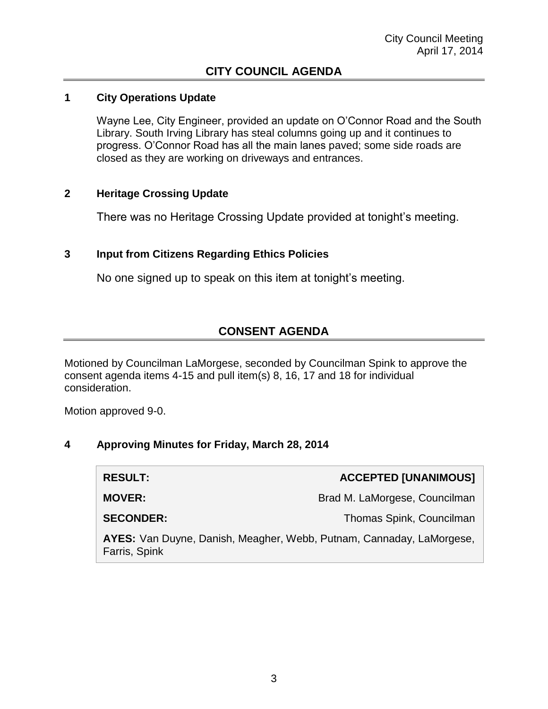#### **1 City Operations Update**

Wayne Lee, City Engineer, provided an update on O'Connor Road and the South Library. South Irving Library has steal columns going up and it continues to progress. O'Connor Road has all the main lanes paved; some side roads are closed as they are working on driveways and entrances.

#### **2 Heritage Crossing Update**

There was no Heritage Crossing Update provided at tonight's meeting.

#### **3 Input from Citizens Regarding Ethics Policies**

No one signed up to speak on this item at tonight's meeting.

# **CONSENT AGENDA**

Motioned by Councilman LaMorgese, seconded by Councilman Spink to approve the consent agenda items 4-15 and pull item(s) 8, 16, 17 and 18 for individual consideration.

Motion approved 9-0.

#### **4 Approving Minutes for Friday, March 28, 2014**

| <b>RESULT:</b>                                                                        | <b>ACCEPTED [UNANIMOUS]</b>   |  |
|---------------------------------------------------------------------------------------|-------------------------------|--|
| <b>MOVER:</b>                                                                         | Brad M. LaMorgese, Councilman |  |
| <b>SECONDER:</b>                                                                      | Thomas Spink, Councilman      |  |
| AYES: Van Duyne, Danish, Meagher, Webb, Putnam, Cannaday, LaMorgese,<br>Farris, Spink |                               |  |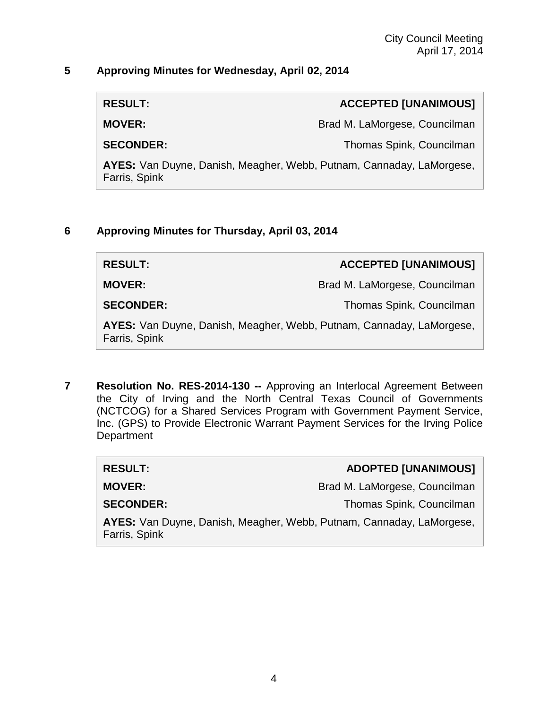#### **5 Approving Minutes for Wednesday, April 02, 2014**

**RESULT: ACCEPTED [UNANIMOUS]**

**MOVER:** Brad M. LaMorgese, Councilman

**SECONDER:** Thomas Spink, Councilman

**AYES:** Van Duyne, Danish, Meagher, Webb, Putnam, Cannaday, LaMorgese, Farris, Spink

#### **6 Approving Minutes for Thursday, April 03, 2014**

| <b>RESULT:</b>                                                                        | ACCEPTED [UNANIMOUS]          |
|---------------------------------------------------------------------------------------|-------------------------------|
| <b>MOVER:</b>                                                                         | Brad M. LaMorgese, Councilman |
| <b>SECONDER:</b>                                                                      | Thomas Spink, Councilman      |
| AYES: Van Duyne, Danish, Meagher, Webb, Putnam, Cannaday, LaMorgese,<br>Farris, Spink |                               |

**7 Resolution No. RES-2014-130 --** Approving an Interlocal Agreement Between the City of Irving and the North Central Texas Council of Governments (NCTCOG) for a Shared Services Program with Government Payment Service, Inc. (GPS) to Provide Electronic Warrant Payment Services for the Irving Police **Department** 

| <b>RESULT:</b>                                                                        | <b>ADOPTED [UNANIMOUS]</b>    |
|---------------------------------------------------------------------------------------|-------------------------------|
| <b>MOVER:</b>                                                                         | Brad M. LaMorgese, Councilman |
| <b>SECONDER:</b>                                                                      | Thomas Spink, Councilman      |
| AYES: Van Duyne, Danish, Meagher, Webb, Putnam, Cannaday, LaMorgese,<br>Farris, Spink |                               |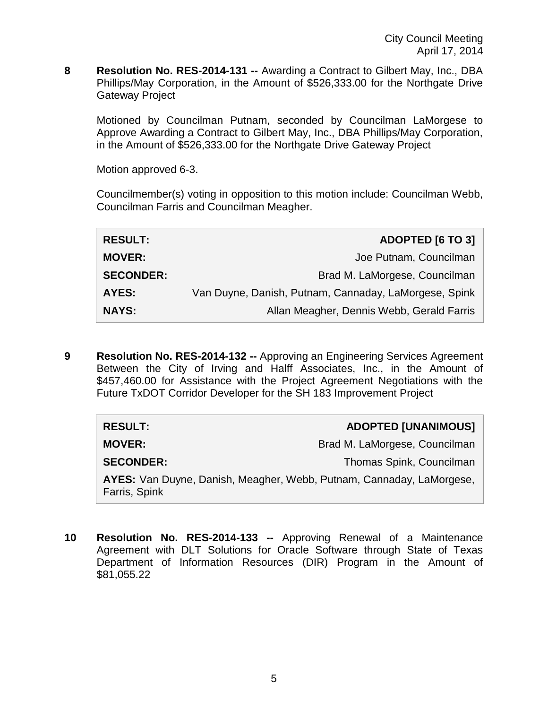**8 Resolution No. RES-2014-131 --** Awarding a Contract to Gilbert May, Inc., DBA Phillips/May Corporation, in the Amount of \$526,333.00 for the Northgate Drive Gateway Project

Motioned by Councilman Putnam, seconded by Councilman LaMorgese to Approve Awarding a Contract to Gilbert May, Inc., DBA Phillips/May Corporation, in the Amount of \$526,333.00 for the Northgate Drive Gateway Project

Motion approved 6-3.

Councilmember(s) voting in opposition to this motion include: Councilman Webb, Councilman Farris and Councilman Meagher.

| <b>RESULT:</b>   | <b>ADOPTED [6 TO 3]</b>                               |
|------------------|-------------------------------------------------------|
| <b>MOVER:</b>    | Joe Putnam, Councilman                                |
| <b>SECONDER:</b> | Brad M. LaMorgese, Councilman                         |
| <b>AYES:</b>     | Van Duyne, Danish, Putnam, Cannaday, LaMorgese, Spink |
| <b>NAYS:</b>     | Allan Meagher, Dennis Webb, Gerald Farris             |

**9 Resolution No. RES-2014-132 --** Approving an Engineering Services Agreement Between the City of Irving and Halff Associates, Inc., in the Amount of \$457,460.00 for Assistance with the Project Agreement Negotiations with the Future TxDOT Corridor Developer for the SH 183 Improvement Project

| <b>RESULT:</b>                                                                        | <b>ADOPTED [UNANIMOUS]</b>    |
|---------------------------------------------------------------------------------------|-------------------------------|
| <b>MOVER:</b>                                                                         | Brad M. LaMorgese, Councilman |
| <b>SECONDER:</b>                                                                      | Thomas Spink, Councilman      |
| AYES: Van Duyne, Danish, Meagher, Webb, Putnam, Cannaday, LaMorgese,<br>Farris, Spink |                               |

**10 Resolution No. RES-2014-133 --** Approving Renewal of a Maintenance Agreement with DLT Solutions for Oracle Software through State of Texas Department of Information Resources (DIR) Program in the Amount of \$81,055.22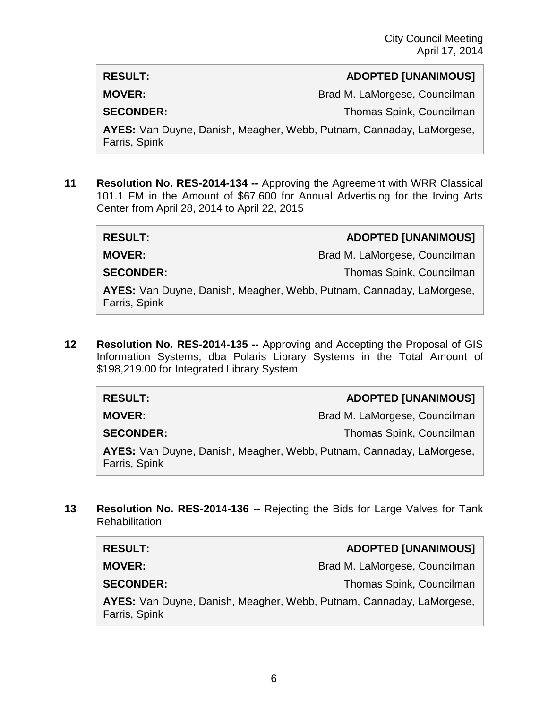#### **RESULT: ADOPTED [UNANIMOUS]**

**MOVER:** Brad M. LaMorgese, Councilman

**SECONDER:** Thomas Spink, Councilman

**AYES:** Van Duyne, Danish, Meagher, Webb, Putnam, Cannaday, LaMorgese, Farris, Spink

**11 Resolution No. RES-2014-134 --** Approving the Agreement with WRR Classical 101.1 FM in the Amount of \$67,600 for Annual Advertising for the Irving Arts Center from April 28, 2014 to April 22, 2015

| <b>RESULT:</b>                                                                        | <b>ADOPTED [UNANIMOUS]</b>    |
|---------------------------------------------------------------------------------------|-------------------------------|
| <b>MOVER:</b>                                                                         | Brad M. LaMorgese, Councilman |
| <b>SECONDER:</b>                                                                      | Thomas Spink, Councilman      |
| AYES: Van Duyne, Danish, Meagher, Webb, Putnam, Cannaday, LaMorgese,<br>Farris, Spink |                               |

**12 Resolution No. RES-2014-135 --** Approving and Accepting the Proposal of GIS Information Systems, dba Polaris Library Systems in the Total Amount of \$198,219.00 for Integrated Library System

| <b>RESULT:</b>                                                                        | <b>ADOPTED [UNANIMOUS]</b>    |
|---------------------------------------------------------------------------------------|-------------------------------|
| <b>MOVER:</b>                                                                         | Brad M. LaMorgese, Councilman |
| <b>SECONDER:</b>                                                                      | Thomas Spink, Councilman      |
| AYES: Van Duyne, Danish, Meagher, Webb, Putnam, Cannaday, LaMorgese,<br>Farris, Spink |                               |

**13 Resolution No. RES-2014-136 --** Rejecting the Bids for Large Valves for Tank **Rehabilitation** 

| <b>RESULT:</b>                                                                        | <b>ADOPTED [UNANIMOUS]</b>    |  |
|---------------------------------------------------------------------------------------|-------------------------------|--|
| <b>MOVER:</b>                                                                         | Brad M. LaMorgese, Councilman |  |
| <b>SECONDER:</b>                                                                      | Thomas Spink, Councilman      |  |
| AYES: Van Duyne, Danish, Meagher, Webb, Putnam, Cannaday, LaMorgese,<br>Farris, Spink |                               |  |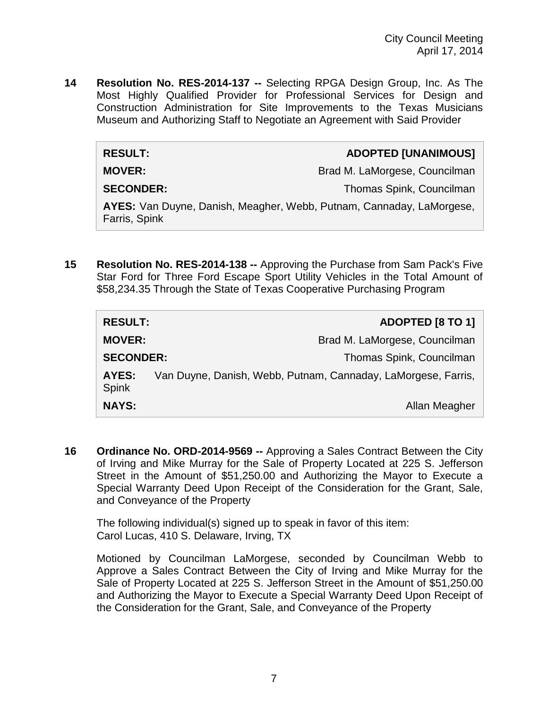**14 Resolution No. RES-2014-137 --** Selecting RPGA Design Group, Inc. As The Most Highly Qualified Provider for Professional Services for Design and Construction Administration for Site Improvements to the Texas Musicians Museum and Authorizing Staff to Negotiate an Agreement with Said Provider

#### **RESULT: ADOPTED [UNANIMOUS]**

**MOVER:** Brad M. LaMorgese, Councilman

**SECONDER:** Thomas Spink, Councilman

**AYES:** Van Duyne, Danish, Meagher, Webb, Putnam, Cannaday, LaMorgese, Farris, Spink

**15 Resolution No. RES-2014-138 --** Approving the Purchase from Sam Pack's Five Star Ford for Three Ford Escape Sport Utility Vehicles in the Total Amount of \$58,234.35 Through the State of Texas Cooperative Purchasing Program

| <b>RESULT:</b>        |                                                               | ADOPTED [8 TO 1]              |
|-----------------------|---------------------------------------------------------------|-------------------------------|
| <b>MOVER:</b>         |                                                               | Brad M. LaMorgese, Councilman |
| <b>SECONDER:</b>      |                                                               | Thomas Spink, Councilman      |
| AYES:<br><b>Spink</b> | Van Duyne, Danish, Webb, Putnam, Cannaday, LaMorgese, Farris, |                               |
| <b>NAYS:</b>          |                                                               | Allan Meagher                 |

**16 Ordinance No. ORD-2014-9569 --** Approving a Sales Contract Between the City of Irving and Mike Murray for the Sale of Property Located at 225 S. Jefferson Street in the Amount of \$51,250.00 and Authorizing the Mayor to Execute a Special Warranty Deed Upon Receipt of the Consideration for the Grant, Sale, and Conveyance of the Property

The following individual(s) signed up to speak in favor of this item: Carol Lucas, 410 S. Delaware, Irving, TX

Motioned by Councilman LaMorgese, seconded by Councilman Webb to Approve a Sales Contract Between the City of Irving and Mike Murray for the Sale of Property Located at 225 S. Jefferson Street in the Amount of \$51,250.00 and Authorizing the Mayor to Execute a Special Warranty Deed Upon Receipt of the Consideration for the Grant, Sale, and Conveyance of the Property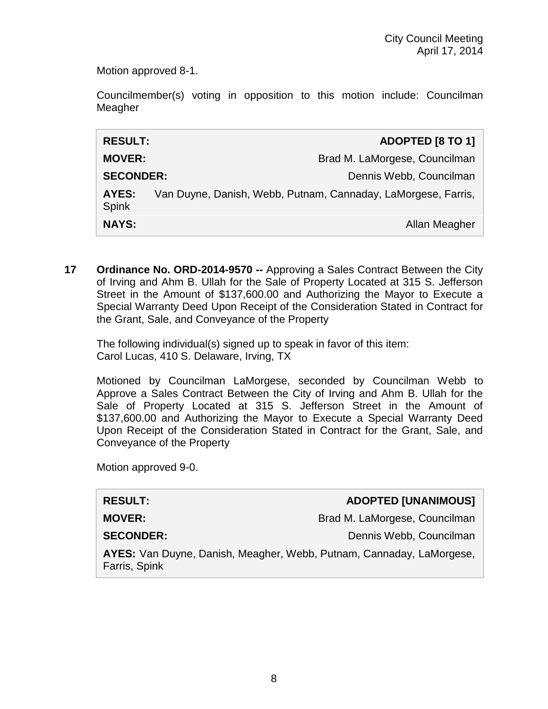Motion approved 8-1.

Councilmember(s) voting in opposition to this motion include: Councilman Meagher

| <b>RESULT:</b>               | <b>ADOPTED [8 TO 1]</b>                                       |
|------------------------------|---------------------------------------------------------------|
| <b>MOVER:</b>                | Brad M. LaMorgese, Councilman                                 |
| <b>SECONDER:</b>             | Dennis Webb, Councilman                                       |
| <b>AYES:</b><br><b>Spink</b> | Van Duyne, Danish, Webb, Putnam, Cannaday, LaMorgese, Farris, |
| <b>NAYS:</b>                 | Allan Meagher                                                 |

**17 Ordinance No. ORD-2014-9570 --** Approving a Sales Contract Between the City of Irving and Ahm B. Ullah for the Sale of Property Located at 315 S. Jefferson Street in the Amount of \$137,600.00 and Authorizing the Mayor to Execute a Special Warranty Deed Upon Receipt of the Consideration Stated in Contract for the Grant, Sale, and Conveyance of the Property

The following individual(s) signed up to speak in favor of this item: Carol Lucas, 410 S. Delaware, Irving, TX

Motioned by Councilman LaMorgese, seconded by Councilman Webb to Approve a Sales Contract Between the City of Irving and Ahm B. Ullah for the Sale of Property Located at 315 S. Jefferson Street in the Amount of \$137,600.00 and Authorizing the Mayor to Execute a Special Warranty Deed Upon Receipt of the Consideration Stated in Contract for the Grant, Sale, and Conveyance of the Property

Motion approved 9-0.

| <b>RESULT:</b>                                                                        | <b>ADOPTED [UNANIMOUS]</b>    |
|---------------------------------------------------------------------------------------|-------------------------------|
| <b>MOVER:</b>                                                                         | Brad M. LaMorgese, Councilman |
| <b>SECONDER:</b>                                                                      | Dennis Webb, Councilman       |
| AYES: Van Duyne, Danish, Meagher, Webb, Putnam, Cannaday, LaMorgese,<br>Farris, Spink |                               |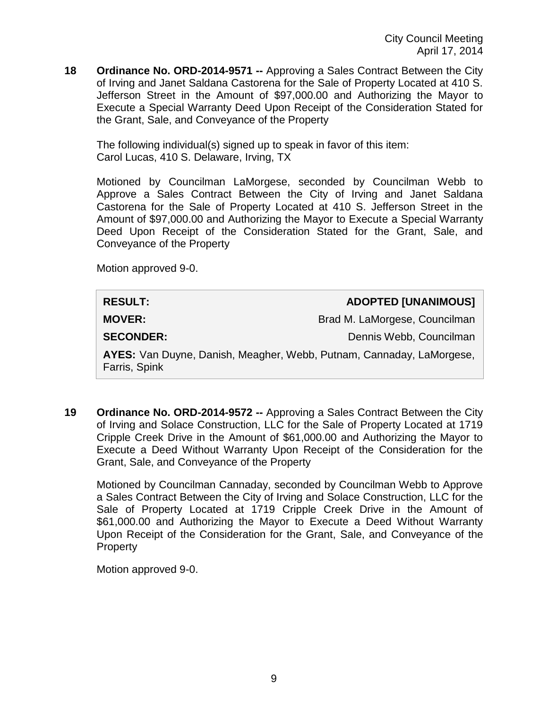**18 Ordinance No. ORD-2014-9571 --** Approving a Sales Contract Between the City of Irving and Janet Saldana Castorena for the Sale of Property Located at 410 S. Jefferson Street in the Amount of \$97,000.00 and Authorizing the Mayor to Execute a Special Warranty Deed Upon Receipt of the Consideration Stated for the Grant, Sale, and Conveyance of the Property

The following individual(s) signed up to speak in favor of this item: Carol Lucas, 410 S. Delaware, Irving, TX

Motioned by Councilman LaMorgese, seconded by Councilman Webb to Approve a Sales Contract Between the City of Irving and Janet Saldana Castorena for the Sale of Property Located at 410 S. Jefferson Street in the Amount of \$97,000.00 and Authorizing the Mayor to Execute a Special Warranty Deed Upon Receipt of the Consideration Stated for the Grant, Sale, and Conveyance of the Property

Motion approved 9-0.

# **RESULT: ADOPTED [UNANIMOUS] MOVER:** Brad M. LaMorgese, Councilman **SECONDER:** Dennis Webb, Councilman **AYES:** Van Duyne, Danish, Meagher, Webb, Putnam, Cannaday, LaMorgese, Farris, Spink

**19 Ordinance No. ORD-2014-9572 --** Approving a Sales Contract Between the City of Irving and Solace Construction, LLC for the Sale of Property Located at 1719 Cripple Creek Drive in the Amount of \$61,000.00 and Authorizing the Mayor to Execute a Deed Without Warranty Upon Receipt of the Consideration for the Grant, Sale, and Conveyance of the Property

Motioned by Councilman Cannaday, seconded by Councilman Webb to Approve a Sales Contract Between the City of Irving and Solace Construction, LLC for the Sale of Property Located at 1719 Cripple Creek Drive in the Amount of \$61,000.00 and Authorizing the Mayor to Execute a Deed Without Warranty Upon Receipt of the Consideration for the Grant, Sale, and Conveyance of the **Property** 

Motion approved 9-0.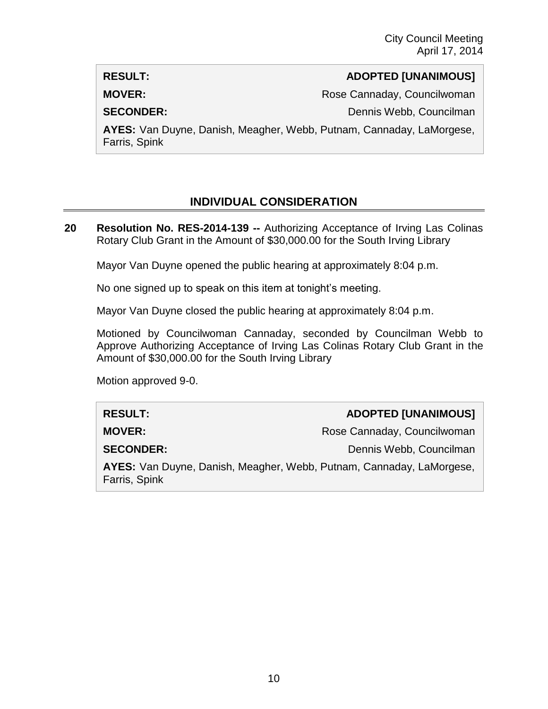#### **RESULT: ADOPTED [UNANIMOUS]**

**MOVER:** Rose Cannaday, Councilwoman

**SECONDER:** Dennis Webb, Councilman

**AYES:** Van Duyne, Danish, Meagher, Webb, Putnam, Cannaday, LaMorgese, Farris, Spink

### **INDIVIDUAL CONSIDERATION**

**20 Resolution No. RES-2014-139 --** Authorizing Acceptance of Irving Las Colinas Rotary Club Grant in the Amount of \$30,000.00 for the South Irving Library

Mayor Van Duyne opened the public hearing at approximately 8:04 p.m.

No one signed up to speak on this item at tonight's meeting.

Mayor Van Duyne closed the public hearing at approximately 8:04 p.m.

Motioned by Councilwoman Cannaday, seconded by Councilman Webb to Approve Authorizing Acceptance of Irving Las Colinas Rotary Club Grant in the Amount of \$30,000.00 for the South Irving Library

Motion approved 9-0.

**RESULT: ADOPTED [UNANIMOUS] MOVER:**  $R$  Rose Cannaday, Councilwoman **SECONDER:** Dennis Webb, Councilman **AYES:** Van Duyne, Danish, Meagher, Webb, Putnam, Cannaday, LaMorgese, Farris, Spink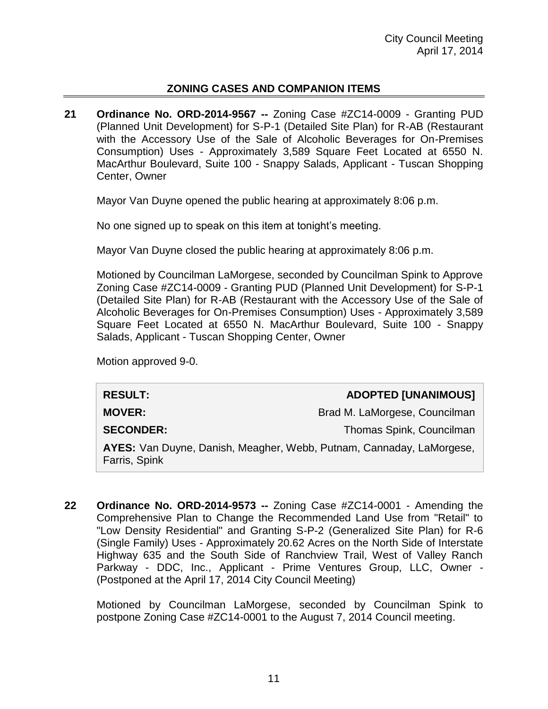#### **ZONING CASES AND COMPANION ITEMS**

**21 Ordinance No. ORD-2014-9567 --** Zoning Case #ZC14-0009 - Granting PUD (Planned Unit Development) for S-P-1 (Detailed Site Plan) for R-AB (Restaurant with the Accessory Use of the Sale of Alcoholic Beverages for On-Premises Consumption) Uses - Approximately 3,589 Square Feet Located at 6550 N. MacArthur Boulevard, Suite 100 - Snappy Salads, Applicant - Tuscan Shopping Center, Owner

Mayor Van Duyne opened the public hearing at approximately 8:06 p.m.

No one signed up to speak on this item at tonight's meeting.

Mayor Van Duyne closed the public hearing at approximately 8:06 p.m.

Motioned by Councilman LaMorgese, seconded by Councilman Spink to Approve Zoning Case #ZC14-0009 - Granting PUD (Planned Unit Development) for S-P-1 (Detailed Site Plan) for R-AB (Restaurant with the Accessory Use of the Sale of Alcoholic Beverages for On-Premises Consumption) Uses - Approximately 3,589 Square Feet Located at 6550 N. MacArthur Boulevard, Suite 100 - Snappy Salads, Applicant - Tuscan Shopping Center, Owner

Motion approved 9-0.

| <b>RESULT:</b>                                                                        | <b>ADOPTED [UNANIMOUS]</b>    |
|---------------------------------------------------------------------------------------|-------------------------------|
| <b>MOVER:</b>                                                                         | Brad M. LaMorgese, Councilman |
| <b>SECONDER:</b>                                                                      | Thomas Spink, Councilman      |
| AYES: Van Duyne, Danish, Meagher, Webb, Putnam, Cannaday, LaMorgese,<br>Farris, Spink |                               |

**22 Ordinance No. ORD-2014-9573 --** Zoning Case #ZC14-0001 - Amending the Comprehensive Plan to Change the Recommended Land Use from "Retail" to "Low Density Residential" and Granting S-P-2 (Generalized Site Plan) for R-6 (Single Family) Uses - Approximately 20.62 Acres on the North Side of Interstate Highway 635 and the South Side of Ranchview Trail, West of Valley Ranch Parkway - DDC, Inc., Applicant - Prime Ventures Group, LLC, Owner - (Postponed at the April 17, 2014 City Council Meeting)

Motioned by Councilman LaMorgese, seconded by Councilman Spink to postpone Zoning Case #ZC14-0001 to the August 7, 2014 Council meeting.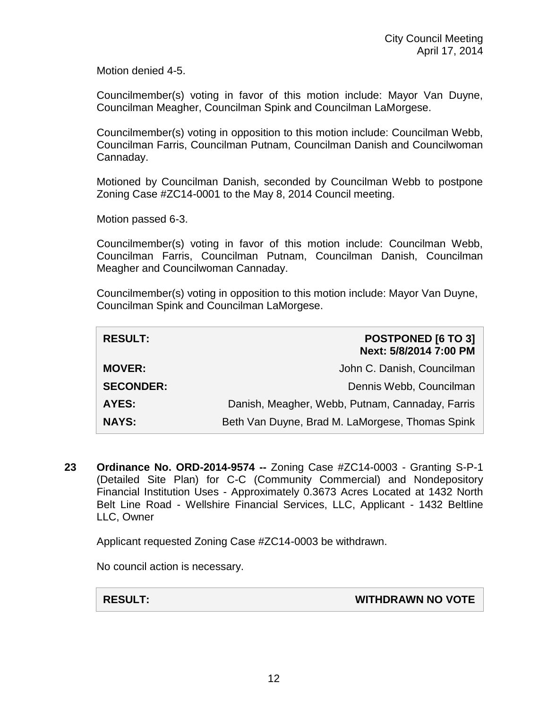Motion denied 4-5.

Councilmember(s) voting in favor of this motion include: Mayor Van Duyne, Councilman Meagher, Councilman Spink and Councilman LaMorgese.

Councilmember(s) voting in opposition to this motion include: Councilman Webb, Councilman Farris, Councilman Putnam, Councilman Danish and Councilwoman Cannaday.

Motioned by Councilman Danish, seconded by Councilman Webb to postpone Zoning Case #ZC14-0001 to the May 8, 2014 Council meeting.

Motion passed 6-3.

Councilmember(s) voting in favor of this motion include: Councilman Webb, Councilman Farris, Councilman Putnam, Councilman Danish, Councilman Meagher and Councilwoman Cannaday.

Councilmember(s) voting in opposition to this motion include: Mayor Van Duyne, Councilman Spink and Councilman LaMorgese.

| <b>RESULT:</b>   | POSTPONED [6 TO 3]<br>Next: 5/8/2014 7:00 PM    |
|------------------|-------------------------------------------------|
| <b>MOVER:</b>    | John C. Danish, Councilman                      |
| <b>SECONDER:</b> | Dennis Webb, Councilman                         |
| <b>AYES:</b>     | Danish, Meagher, Webb, Putnam, Cannaday, Farris |
| <b>NAYS:</b>     | Beth Van Duyne, Brad M. LaMorgese, Thomas Spink |

**23 Ordinance No. ORD-2014-9574 --** Zoning Case #ZC14-0003 - Granting S-P-1 (Detailed Site Plan) for C-C (Community Commercial) and Nondepository Financial Institution Uses - Approximately 0.3673 Acres Located at 1432 North Belt Line Road - Wellshire Financial Services, LLC, Applicant - 1432 Beltline LLC, Owner

Applicant requested Zoning Case #ZC14-0003 be withdrawn.

No council action is necessary.

**RESULT: WITHDRAWN NO VOTE**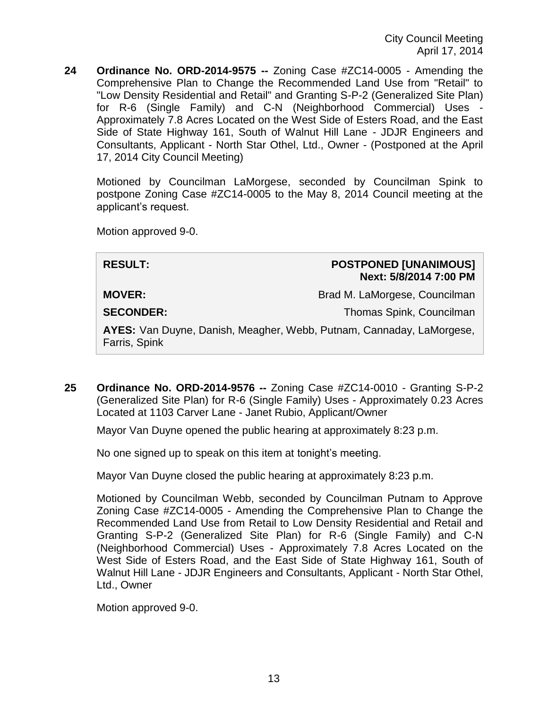**24 Ordinance No. ORD-2014-9575 --** Zoning Case #ZC14-0005 - Amending the Comprehensive Plan to Change the Recommended Land Use from "Retail" to "Low Density Residential and Retail" and Granting S-P-2 (Generalized Site Plan) for R-6 (Single Family) and C-N (Neighborhood Commercial) Uses - Approximately 7.8 Acres Located on the West Side of Esters Road, and the East Side of State Highway 161, South of Walnut Hill Lane - JDJR Engineers and Consultants, Applicant - North Star Othel, Ltd., Owner - (Postponed at the April 17, 2014 City Council Meeting)

Motioned by Councilman LaMorgese, seconded by Councilman Spink to postpone Zoning Case #ZC14-0005 to the May 8, 2014 Council meeting at the applicant's request.

Motion approved 9-0.

| <b>RESULT:</b>                                                                        | <b>POSTPONED [UNANIMOUS]</b><br>Next: 5/8/2014 7:00 PM |  |
|---------------------------------------------------------------------------------------|--------------------------------------------------------|--|
| <b>MOVER:</b>                                                                         | Brad M. LaMorgese, Councilman                          |  |
| <b>SECONDER:</b>                                                                      | Thomas Spink, Councilman                               |  |
| AYES: Van Duyne, Danish, Meagher, Webb, Putnam, Cannaday, LaMorgese,<br>Farris, Spink |                                                        |  |
|                                                                                       |                                                        |  |

**25 Ordinance No. ORD-2014-9576 --** Zoning Case #ZC14-0010 - Granting S-P-2 (Generalized Site Plan) for R-6 (Single Family) Uses - Approximately 0.23 Acres Located at 1103 Carver Lane - Janet Rubio, Applicant/Owner

Mayor Van Duyne opened the public hearing at approximately 8:23 p.m.

No one signed up to speak on this item at tonight's meeting.

Mayor Van Duyne closed the public hearing at approximately 8:23 p.m.

Motioned by Councilman Webb, seconded by Councilman Putnam to Approve Zoning Case #ZC14-0005 - Amending the Comprehensive Plan to Change the Recommended Land Use from Retail to Low Density Residential and Retail and Granting S-P-2 (Generalized Site Plan) for R-6 (Single Family) and C-N (Neighborhood Commercial) Uses - Approximately 7.8 Acres Located on the West Side of Esters Road, and the East Side of State Highway 161, South of Walnut Hill Lane - JDJR Engineers and Consultants, Applicant - North Star Othel, Ltd., Owner

Motion approved 9-0.